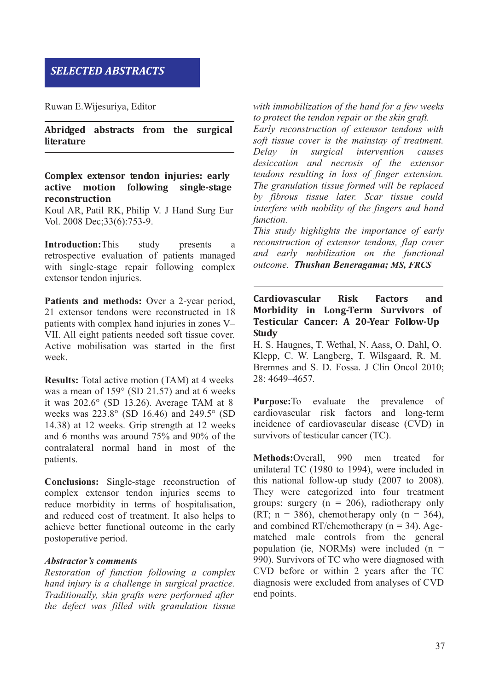# *SELECTED ABSTRACTS*

Ruwan E.Wijesuriya, Editor

**Abridged abstracts from the surgical literature**

### **Complex extensor tendon injuries: early active motion following single-stage reconstruction**

Koul AR, Patil RK, Philip V. J Hand Surg Eur Vol. 2008 Dec;33(6):753-9.

**Introduction:**This study presents a retrospective evaluation of patients managed with single-stage repair following complex extensor tendon injuries.

**Patients and methods:** Over a 2-year period, 21 extensor tendons were reconstructed in 18 patients with complex hand injuries in zones V– VII. All eight patients needed soft tissue cover. Active mobilisation was started in the first week.

**Results:** Total active motion (TAM) at 4 weeks was a mean of 159° (SD 21.57) and at 6 weeks it was 202.6° (SD 13.26). Average TAM at 8 weeks was 223.8° (SD 16.46) and 249.5° (SD 14.38) at 12 weeks. Grip strength at 12 weeks and 6 months was around 75% and 90% of the contralateral normal hand in most of the patients.

**Conclusions:** Single-stage reconstruction of complex extensor tendon injuries seems to reduce morbidity in terms of hospitalisation, and reduced cost of treatment. It also helps to achieve better functional outcome in the early postoperative period.

#### *Abstractor's comments*

*Restoration of function following a complex hand injury is a challenge in surgical practice. Traditionally, skin grafts were performed after the defect was filled with granulation tissue* *with immobilization of the hand for a few weeks to protect the tendon repair or the skin graft.*

*Early reconstruction of extensor tendons with soft tissue cover is the mainstay of treatment. Delay in surgical intervention causes desiccation and necrosis of the extensor tendons resulting in loss of finger extension. The granulation tissue formed will be replaced by fibrous tissue later. Scar tissue could interfere with mobility of the fingers and hand function.*

*This study highlights the importance of early reconstruction of extensor tendons, flap cover and early mobilization on the functional outcome. Thushan Beneragama; MS, FRCS*

**Cardiovascular Risk Factors and Morbidity in Long-Term Survivors of Testicular Cancer: A 20-Year Follow-Up Study**

H. S. Haugnes, T. Wethal, N. Aass, O. Dahl, O. Klepp, C. W. Langberg, T. Wilsgaard, R. M. Bremnes and S. D. Fossa. J Clin Oncol 2010; 28: 4649–4657*.*

**Purpose:**To evaluate the prevalence of cardiovascular risk factors and long-term incidence of cardiovascular disease (CVD) in survivors of testicular cancer (TC).

**Methods:**Overall, 990 men treated for unilateral TC (1980 to 1994), were included in this national follow-up study (2007 to 2008). They were categorized into four treatment groups: surgery  $(n = 206)$ , radiotherapy only (RT;  $n = 386$ ), chemotherapy only  $(n = 364)$ , and combined RT/chemotherapy ( $n = 34$ ). Agematched male controls from the general population (ie, NORMs) were included  $(n =$ 990). Survivors of TC who were diagnosed with CVD before or within 2 years after the TC diagnosis were excluded from analyses of CVD end points.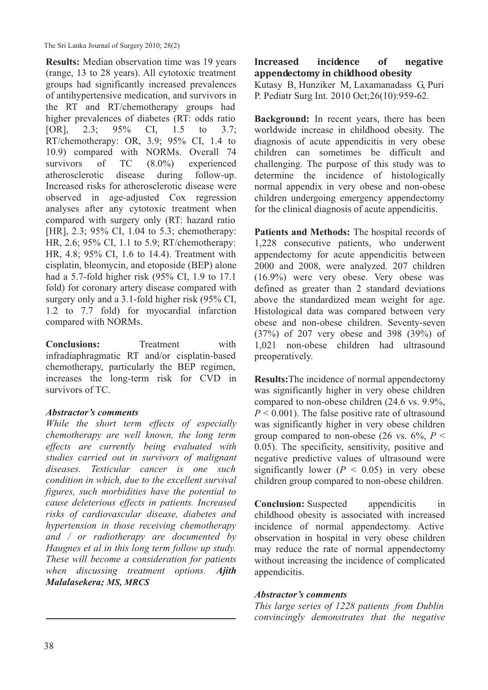The Sri Lanka Journal of Surgery 2010; 28(2)

**Results:** Median observation time was 19 years (range, 13 to 28 years). All cytotoxic treatment groups had significantly increased prevalences of antihypertensive medication, and survivors in the RT and RT/chemotherapy groups had higher prevalences of diabetes (RT: odds ratio [OR], 2.3; 95% CI, 1.5 to 3.7; RT/chemotherapy: OR, 3.9; 95% CI, 1.4 to 10.9) compared with NORMs. Overall 74 survivors of TC  $(8.0\%)$  experienced atherosclerotic disease during follow-up. Increased risks for atherosclerotic disease were observed in age-adjusted Cox regression analyses after any cytotoxic treatment when compared with surgery only (RT: hazard ratio [HR], 2.3; 95% CI, 1.04 to 5.3; chemotherapy: HR, 2.6; 95% CI, 1.1 to 5.9; RT/chemotherapy: HR, 4.8; 95% CI, 1.6 to 14.4). Treatment with cisplatin, bleomycin, and etoposide (BEP) alone had a 5.7-fold higher risk (95% CI, 1.9 to 17.1 fold) for coronary artery disease compared with surgery only and a 3.1-fold higher risk (95% CI, 1.2 to 7.7 fold) for myocardial infarction compared with NORMs.

**Conclusions:** Treatment with infradiaphragmatic RT and/or cisplatin-based chemotherapy, particularly the BEP regimen, increases the long-term risk for CVD in survivors of TC.

## *Abstractor's comments*

*While the short term effects of especially chemotherapy are well known, the long term effects are currently being evaluated with studies carried out in survivors of malignant diseases. Testicular cancer is one such condition in which, due to the excellent survival figures, such morbidities have the potential to cause deleterious effects in patients. Increased risks of cardiovascular disease, diabetes and hypertension in those receiving chemotherapy and / or radiotherapy are documented by Haugnes et al in this long term follow up study. These will become a consideration for patients when discussing treatment options. Ajith Malalasekera; MS, MRCS*

**Increased incidence of negative appendectomy in childhood obesity** Kutasy B, Hunziker M, Laxamanadass G, Puri P. Pediatr Surg Int. 2010 Oct;26(10):959-62.

**Background:** In recent years, there has been worldwide increase in childhood obesity. The diagnosis of acute appendicitis in very obese children can sometimes be difficult and challenging. The purpose of this study was to determine the incidence of histologically normal appendix in very obese and non-obese children undergoing emergency appendectomy for the clinical diagnosis of acute appendicitis.

**Patients and Methods:** The hospital records of 1,228 consecutive patients, who underwent appendectomy for acute appendicitis between 2000 and 2008, were analyzed. 207 children (16.9%) were very obese. Very obese was defined as greater than 2 standard deviations above the standardized mean weight for age. Histological data was compared between very obese and non-obese children. Seventy-seven (37%) of 207 very obese and 398 (39%) of 1,021 non-obese children had ultrasound preoperatively.

**Results:**The incidence of normal appendectomy was significantly higher in very obese children compared to non-obese children (24.6 vs. 9.9%,  $P < 0.001$ ). The false positive rate of ultrasound was significantly higher in very obese children group compared to non-obese (26 vs.  $6\%$ ,  $P \leq$ 0.05). The specificity, sensitivity, positive and negative predictive values of ultrasound were significantly lower  $(P < 0.05)$  in very obese children group compared to non-obese children.

**Conclusion:** Suspected appendicitis in childhood obesity is associated with increased incidence of normal appendectomy. Active observation in hospital in very obese children may reduce the rate of normal appendectomy without increasing the incidence of complicated appendicitis.

## *Abstractor's comments*

*This large series of 1228 patients from Dublin convincingly demonstrates that the negative*